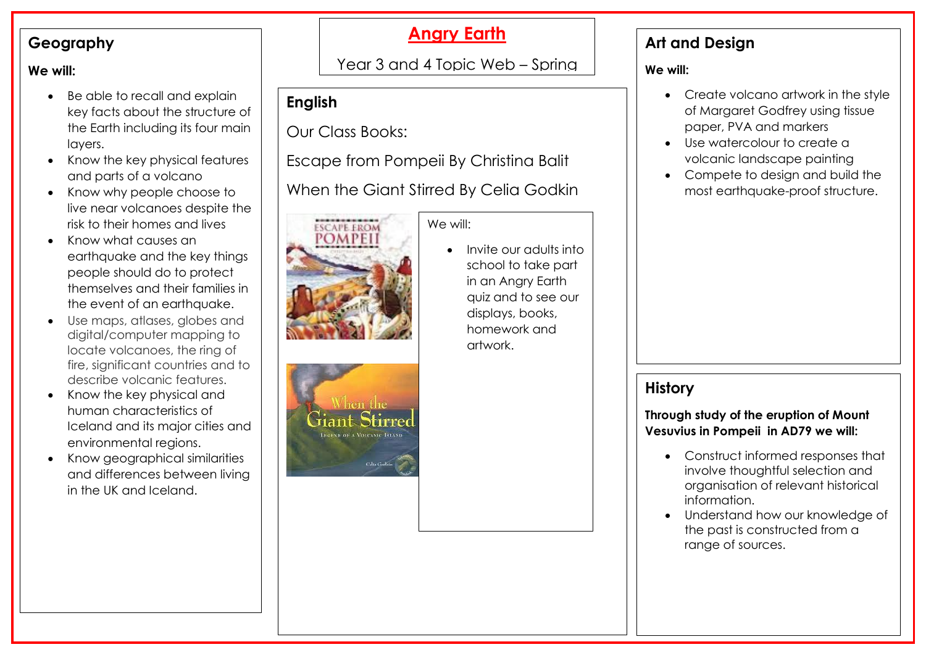#### **Geography**

#### **We will:**

- Be able to recall and explain key facts about the structure of the Earth including its four main layers.
- Know the key physical features and parts of a volcano
- Know why people choose to live near volcanoes despite the risk to their homes and lives
- Know what causes an earthquake and the key things people should do to protect themselves and their families in the event of an earthquake.
- Use maps, atlases, globes and digital/computer mapping to locate volcanoes, the ring of fire, significant countries and to describe volcanic features.
- Know the key physical and human characteristics of Iceland and its major cities and environmental regions.
- Know geographical similarities and differences between living in the UK and Iceland.

# **Angry Earth**

## Year 3 and 4 Topic Web – Spring

<u>Term 2- 2022 - 2022 - 2022 - 2022 - 2022 - 2022 - 2022 - 2022 - 2022 - 2022 - 2022 - 2022 - 2022 - 2022 - 20</u>

## **English**

Our Class Books:

Escape from Pompeii By Christina Balit

When the Giant Stirred By Celia Godkin

We will:



hen the

Celia Godie

 Invite our adults into school to take part in an Angry Earth quiz and to see our displays, books, homework and artwork.

### **Art and Design**

#### **We will:**

- Create volcano artwork in the style of Margaret Godfrey using tissue paper, PVA and markers
- Use watercolour to create a volcanic landscape painting
- Compete to design and build the most earthquake-proof structure.

### **History**

**Through study of the eruption of Mount Vesuvius in Pompeii in AD79 we will:**

- Construct informed responses that involve thoughtful selection and organisation of relevant historical information.
- Understand how our knowledge of the past is constructed from a range of sources.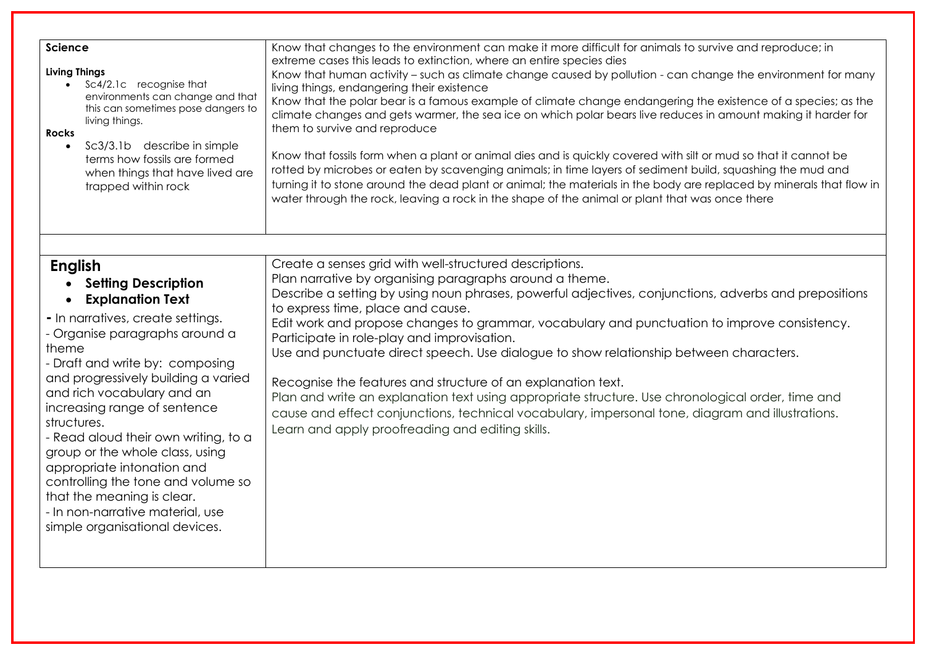| <b>Science</b><br><b>Living Things</b><br>Sc4/2.1c recognise that<br>$\bullet$<br>environments can change and that<br>this can sometimes pose dangers to<br>living things.<br><b>Rocks</b><br>Sc3/3.1b describe in simple<br>$\bullet$<br>terms how fossils are formed<br>when things that have lived are<br>trapped within rock                                                                                                                                                                                                                                  | Know that changes to the environment can make it more difficult for animals to survive and reproduce; in<br>extreme cases this leads to extinction, where an entire species dies<br>Know that human activity - such as climate change caused by pollution - can change the environment for many<br>living things, endangering their existence<br>Know that the polar bear is a famous example of climate change endangering the existence of a species; as the<br>climate changes and gets warmer, the sea ice on which polar bears live reduces in amount making it harder for<br>them to survive and reproduce<br>Know that fossils form when a plant or animal dies and is quickly covered with silt or mud so that it cannot be<br>rotted by microbes or eaten by scavenging animals; in time layers of sediment build, squashing the mud and<br>turning it to stone around the dead plant or animal; the materials in the body are replaced by minerals that flow in<br>water through the rock, leaving a rock in the shape of the animal or plant that was once there |
|-------------------------------------------------------------------------------------------------------------------------------------------------------------------------------------------------------------------------------------------------------------------------------------------------------------------------------------------------------------------------------------------------------------------------------------------------------------------------------------------------------------------------------------------------------------------|-----------------------------------------------------------------------------------------------------------------------------------------------------------------------------------------------------------------------------------------------------------------------------------------------------------------------------------------------------------------------------------------------------------------------------------------------------------------------------------------------------------------------------------------------------------------------------------------------------------------------------------------------------------------------------------------------------------------------------------------------------------------------------------------------------------------------------------------------------------------------------------------------------------------------------------------------------------------------------------------------------------------------------------------------------------------------------|
|                                                                                                                                                                                                                                                                                                                                                                                                                                                                                                                                                                   |                                                                                                                                                                                                                                                                                                                                                                                                                                                                                                                                                                                                                                                                                                                                                                                                                                                                                                                                                                                                                                                                             |
| <b>English</b><br><b>Setting Description</b><br><b>Explanation Text</b><br>- In narratives, create settings.<br>- Organise paragraphs around a<br>theme<br>- Draft and write by: composing<br>and progressively building a varied<br>and rich vocabulary and an<br>increasing range of sentence<br>structures.<br>- Read aloud their own writing, to a<br>group or the whole class, using<br>appropriate intonation and<br>controlling the tone and volume so<br>that the meaning is clear.<br>- In non-narrative material, use<br>simple organisational devices. | Create a senses grid with well-structured descriptions.<br>Plan narrative by organising paragraphs around a theme.<br>Describe a setting by using noun phrases, powerful adjectives, conjunctions, adverbs and prepositions<br>to express time, place and cause.<br>Edit work and propose changes to grammar, vocabulary and punctuation to improve consistency.<br>Participate in role-play and improvisation.<br>Use and punctuate direct speech. Use dialogue to show relationship between characters.<br>Recognise the features and structure of an explanation text.<br>Plan and write an explanation text using appropriate structure. Use chronological order, time and<br>cause and effect conjunctions, technical vocabulary, impersonal tone, diagram and illustrations.<br>Learn and apply proofreading and editing skills.                                                                                                                                                                                                                                      |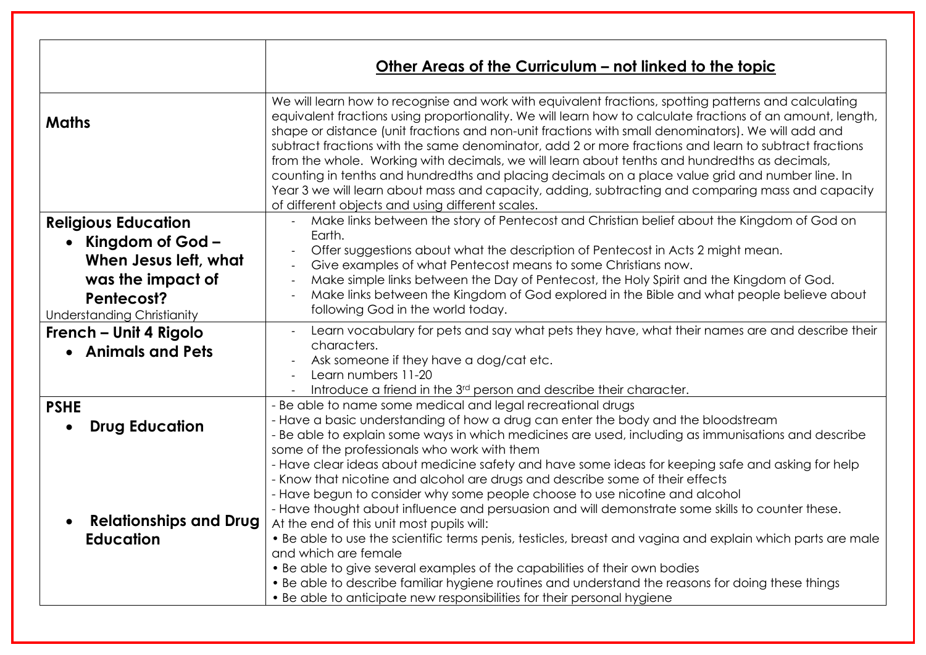|                                                                                                                                          | Other Areas of the Curriculum - not linked to the topic                                                                                                                                                                                                                                                                                                                                                                                                                                                                                                                                                                                                                                                                                                                                         |
|------------------------------------------------------------------------------------------------------------------------------------------|-------------------------------------------------------------------------------------------------------------------------------------------------------------------------------------------------------------------------------------------------------------------------------------------------------------------------------------------------------------------------------------------------------------------------------------------------------------------------------------------------------------------------------------------------------------------------------------------------------------------------------------------------------------------------------------------------------------------------------------------------------------------------------------------------|
| <b>Maths</b>                                                                                                                             | We will learn how to recognise and work with equivalent fractions, spotting patterns and calculating<br>equivalent fractions using proportionality. We will learn how to calculate fractions of an amount, length,<br>shape or distance (unit fractions and non-unit fractions with small denominators). We will add and<br>subtract fractions with the same denominator, add 2 or more fractions and learn to subtract fractions<br>from the whole. Working with decimals, we will learn about tenths and hundredths as decimals,<br>counting in tenths and hundredths and placing decimals on a place value grid and number line. In<br>Year 3 we will learn about mass and capacity, adding, subtracting and comparing mass and capacity<br>of different objects and using different scales. |
| <b>Religious Education</b><br>Kingdom of God -<br>When Jesus left, what<br>was the impact of<br>Pentecost?<br>Understanding Christianity | Make links between the story of Pentecost and Christian belief about the Kingdom of God on<br>Earth.<br>Offer suggestions about what the description of Pentecost in Acts 2 might mean.<br>Give examples of what Pentecost means to some Christians now.<br>$\overline{\phantom{a}}$<br>Make simple links between the Day of Pentecost, the Holy Spirit and the Kingdom of God.<br>$\overline{\phantom{a}}$<br>Make links between the Kingdom of God explored in the Bible and what people believe about<br>following God in the world today.                                                                                                                                                                                                                                                   |
| French – Unit 4 Rigolo<br>• Animals and Pets                                                                                             | Learn vocabulary for pets and say what pets they have, what their names are and describe their<br>characters.<br>Ask someone if they have a dog/cat etc.<br>Learn numbers 11-20<br>Introduce a friend in the 3 <sup>rd</sup> person and describe their character.                                                                                                                                                                                                                                                                                                                                                                                                                                                                                                                               |
| <b>PSHE</b><br><b>Drug Education</b>                                                                                                     | - Be able to name some medical and legal recreational drugs<br>- Have a basic understanding of how a drug can enter the body and the bloodstream<br>- Be able to explain some ways in which medicines are used, including as immunisations and describe<br>some of the professionals who work with them<br>- Have clear ideas about medicine safety and have some ideas for keeping safe and asking for help<br>- Know that nicotine and alcohol are drugs and describe some of their effects                                                                                                                                                                                                                                                                                                   |
| <b>Relationships and Drug</b><br><b>Education</b>                                                                                        | - Have begun to consider why some people choose to use nicotine and alcohol<br>- Have thought about influence and persuasion and will demonstrate some skills to counter these.<br>At the end of this unit most pupils will:<br>. Be able to use the scientific terms penis, testicles, breast and vagina and explain which parts are male<br>and which are female<br>• Be able to give several examples of the capabilities of their own bodies<br>• Be able to describe familiar hygiene routines and understand the reasons for doing these things<br>• Be able to anticipate new responsibilities for their personal hygiene                                                                                                                                                                |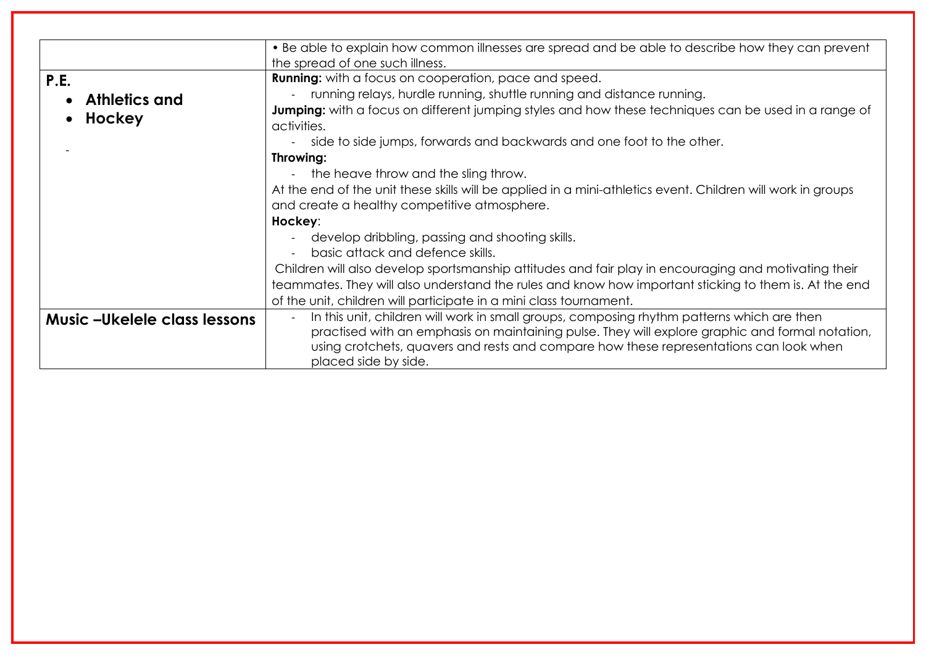|                                     | • Be able to explain how common illnesses are spread and be able to describe how they can prevent            |
|-------------------------------------|--------------------------------------------------------------------------------------------------------------|
|                                     | the spread of one such illness.                                                                              |
| P.E.                                | <b>Running:</b> with a focus on cooperation, pace and speed.                                                 |
| • Athletics and                     | running relays, hurdle running, shuttle running and distance running.                                        |
|                                     | <b>Jumping:</b> with a focus on different jumping styles and how these techniques can be used in a range of  |
| Hockey                              | activities.                                                                                                  |
|                                     | side to side jumps, forwards and backwards and one foot to the other.<br>$\overline{\phantom{a}}$            |
|                                     | Throwing:                                                                                                    |
|                                     | the heave throw and the sling throw.                                                                         |
|                                     | At the end of the unit these skills will be applied in a mini-athletics event. Children will work in groups  |
|                                     | and create a healthy competitive atmosphere.                                                                 |
|                                     | Hockey:                                                                                                      |
|                                     | develop dribbling, passing and shooting skills.                                                              |
|                                     | basic attack and defence skills.                                                                             |
|                                     | Children will also develop sportsmanship attitudes and fair play in encouraging and motivating their         |
|                                     | teammates. They will also understand the rules and know how important sticking to them is. At the end        |
|                                     | of the unit, children will participate in a mini class tournament.                                           |
| <b>Music -Ukelele class lessons</b> | In this unit, children will work in small groups, composing rhythm patterns which are then<br>$\blacksquare$ |
|                                     | practised with an emphasis on maintaining pulse. They will explore graphic and formal notation,              |
|                                     | using crotchets, quavers and rests and compare how these representations can look when                       |
|                                     | placed side by side.                                                                                         |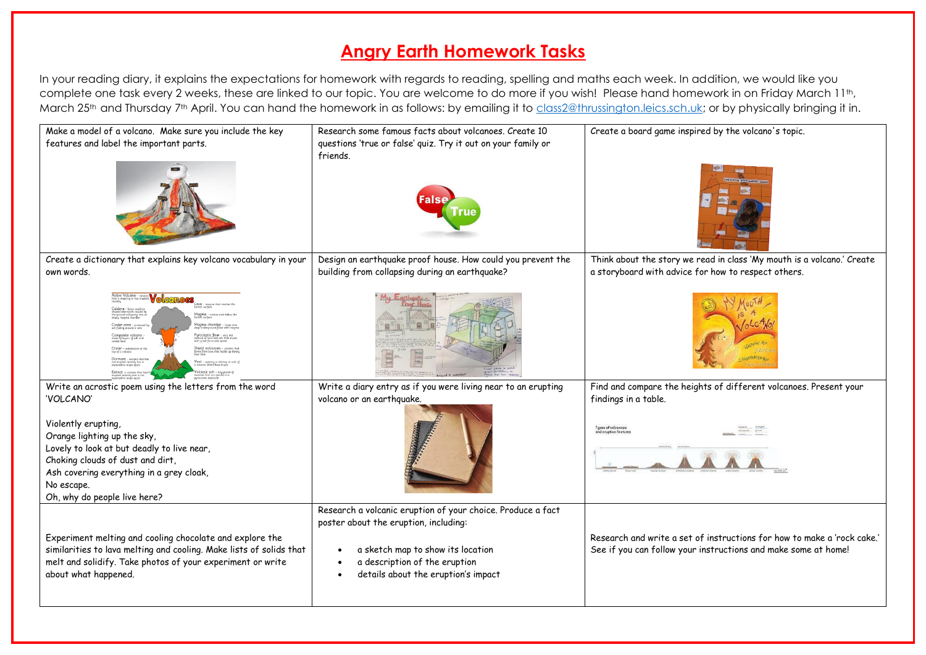## **Angry Earth Homework Tasks**

In your reading diary, it explains the expectations for homework with regards to reading, spelling and maths each week. In addition, we would like you complete one task every 2 weeks, these are linked to our topic. You are welcome to do more if you wish! Please hand homework in on Friday March 11th. March 25<sup>th</sup> and Thursday 7<sup>th</sup> April. You can hand the homework in as follows: by emailing it to [class2@thrussington.leics.sch.uk;](mailto:class2@thrussington.leics.sch.uk) or by physically bringing it in.